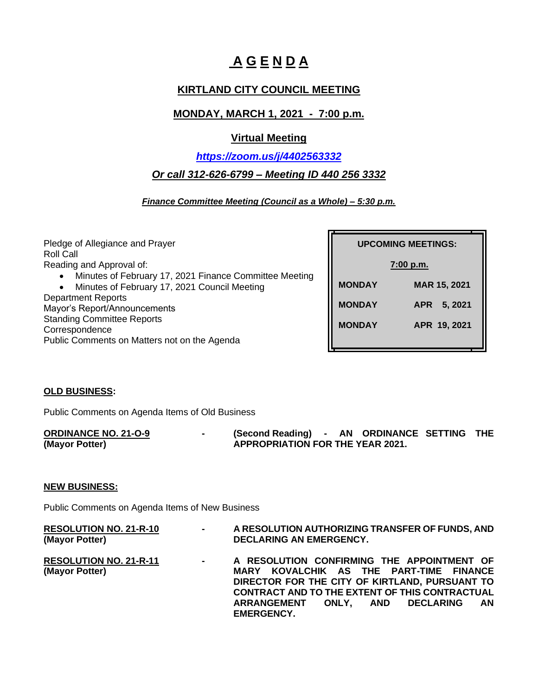# **A G E N D A**

## **KIRTLAND CITY COUNCIL MEETING**

# **MONDAY, MARCH 1, 2021 - 7:00 p.m.**

## **Virtual Meeting**

## *<https://zoom.us/j/4402563332>*

## *Or call 312-626-6799 – Meeting ID 440 256 3332*

#### *Finance Committee Meeting (Council as a Whole) – 5:30 p.m.*

| Pledge of Allegiance and Prayer                        | <b>UPCOMING MEETINGS:</b> |                      |
|--------------------------------------------------------|---------------------------|----------------------|
| Roll Call                                              |                           |                      |
| Reading and Approval of:                               | $7:00$ p.m.               |                      |
| Minutes of February 17, 2021 Finance Committee Meeting |                           |                      |
| Minutes of February 17, 2021 Council Meeting           | <b>MONDAY</b>             | MAR 15, 2021         |
| <b>Department Reports</b>                              |                           |                      |
| Mayor's Report/Announcements                           | <b>MONDAY</b>             | 5,2021<br><b>APR</b> |
| <b>Standing Committee Reports</b>                      |                           |                      |
| Correspondence                                         | <b>MONDAY</b>             | APR 19, 2021         |
| Public Comments on Matters not on the Agenda           |                           |                      |

#### **OLD BUSINESS:**

Public Comments on Agenda Items of Old Business

**ORDINANCE NO. 21-O-9 - (Second Reading) - AN ORDINANCE SETTING THE (Mayor Potter) APPROPRIATION FOR THE YEAR 2021.**

#### **NEW BUSINESS:**

Public Comments on Agenda Items of New Business

| <b>RESOLUTION NO. 21-R-10</b> | A RESOLUTION AUTHORIZING TRANSFER OF FUNDS, AND |
|-------------------------------|-------------------------------------------------|
| (Mayor Potter)                | <b>DECLARING AN EMERGENCY.</b>                  |

**RESOLUTION NO. 21-R-11 - A RESOLUTION CONFIRMING THE APPOINTMENT OF (Mayor Potter) MARY KOVALCHIK AS THE PART-TIME FINANCE DIRECTOR FOR THE CITY OF KIRTLAND, PURSUANT TO CONTRACT AND TO THE EXTENT OF THIS CONTRACTUAL ARRANGEMENT ONLY, AND DECLARING AN EMERGENCY.**